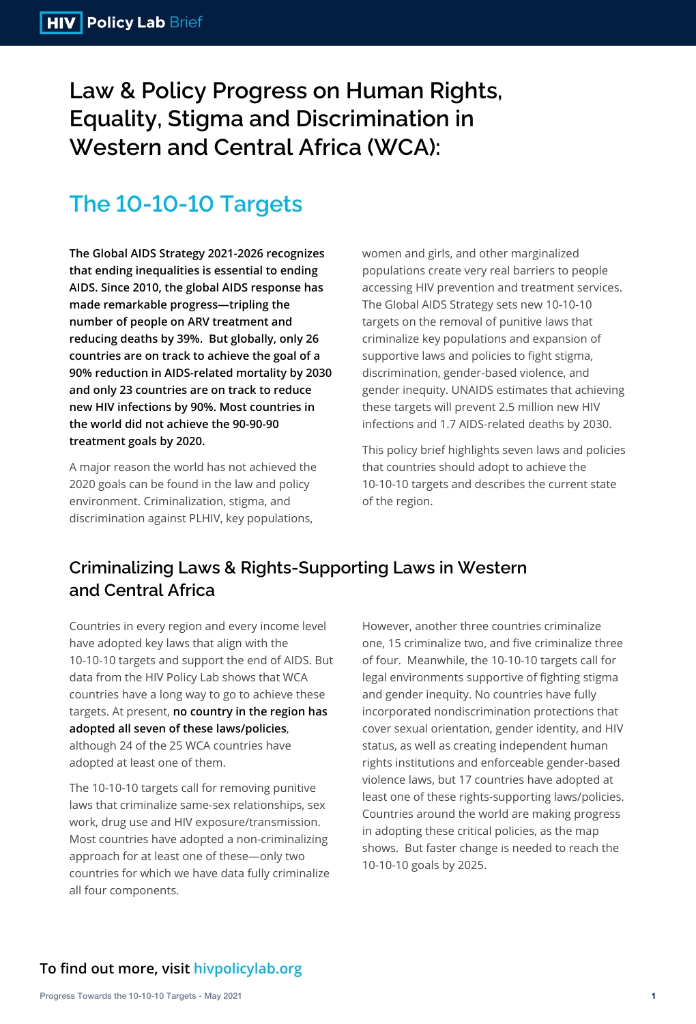**Law & Policy Progress on Human Rights, Equality, Stigma and Discrimination in Western and Central Africa (WCA):**

# **The 10-10-10 Targets**

**The Global AIDS Strategy 2021-2026 recognizes that ending inequalities is essential to ending AIDS. Since 2010, the global AIDS response has made remarkable progress—tripling the number of people on ARV treatment and reducing deaths by 39%. But globally, only 26 countries are on track to achieve the goal of a 90% reduction in AIDS-related mortality by 2030 and only 23 countries are on track to reduce new HIV infections by 90%. Most countries in the world did not achieve the 90-90-90 treatment goals by 2020.**

A major reason the world has not achieved the 2020 goals can be found in the law and policy environment. Criminalization, stigma, and

women and girls, and other marginalized populations create very real barriers to people accessing HIV prevention and treatment services. The Global AIDS Strategy sets new 10-10-10 targets on the removal of punitive laws that criminalize key populations and expansion of supportive laws and policies to fight stigma, discrimination, gender-based violence, and gender inequity. UNAIDS estimates that achieving these targets will prevent 2.5 million new HIV infections and 1.7 AIDS-related deaths by 2030.

This policy brief highlights seven laws and policies that countries should adopt to achieve the 10-10-10 targets and describes the current state of the region.

### **To find out more, visit hivpolicylab.org**

Countries in every region and every income level have adopted key laws that align with the 10-10-10 targets and support the end of AIDS. But data from the HIV Policy Lab shows that WCA countries have a long way to go to achieve these targets. At present, **no country in the region has adopted all seven of these laws/policies**, although 24 of the 25 WCA countries have

adopted at least one of them.

The 10-10-10 targets call for removing punitive laws that criminalize same-sex relationships, sex work, drug use and HIV exposure/transmission. Most countries have adopted a non-criminalizing approach for at least one of these—only two countries for which we have data fully criminalize all four components.

However, another three countries criminalize one, 15 criminalize two, and five criminalize three of four. Meanwhile, the 10-10-10 targets call for legal environments supportive of fighting stigma and gender inequity. No countries have fully incorporated nondiscrimination protections that cover sexual orientation, gender identity, and HIV status, as well as creating independent human rights institutions and enforceable gender-based violence laws, but 17 countries have adopted at least one of these rights-supporting laws/policies. Countries around the world are making progress in adopting these critical policies, as the map shows. But faster change is needed to reach the 10-10-10 goals by 2025.

## **Criminalizing Laws & Rights-Supporting Laws in Western and Central Africa**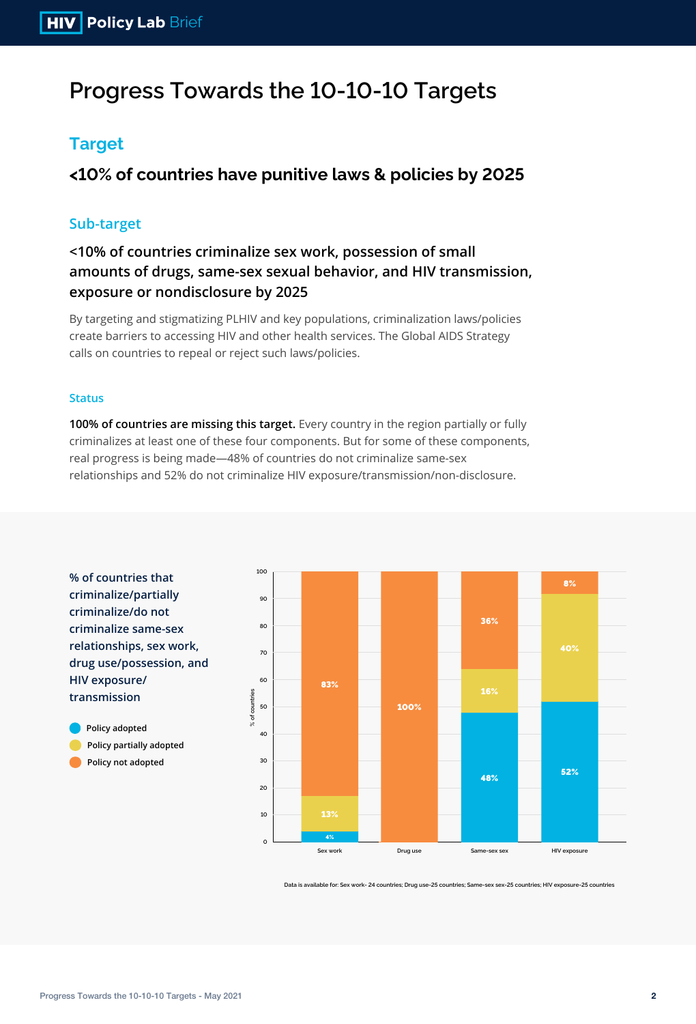**% of countries that criminalize/partially criminalize/do not criminalize same-sex relationships, sex work, drug use/possession, and HIV exposure/ transmission**

**Policy adopted Policy partially adopted Policy not adopted**

# **Progress Towards the 10-10-10 Targets**

## **Target**

**<10% of countries have punitive laws & policies by 2025**

### **Sub-target**

**<10% of countries criminalize sex work, possession of small amounts of drugs, same-sex sexual behavior, and HIV transmission, exposure or nondisclosure by 2025**

#### **Status**

**100% of countries are missing this target.** Every country in the region partially or fully criminalizes at least one of these four components. But for some of these components, real progress is being made—48% of countries do not criminalize same-sex relationships and 52% do not criminalize HIV exposure/transmission/non-disclosure.

**Data is available for: Sex work- 24 countries; Drug use-25 countries; Same-sex sex-25 countries; HIV exposure-25 countries**

By targeting and stigmatizing PLHIV and key populations, criminalization laws/policies create barriers to accessing HIV and other health services. The Global AIDS Strategy calls on countries to repeal or reject such laws/policies.

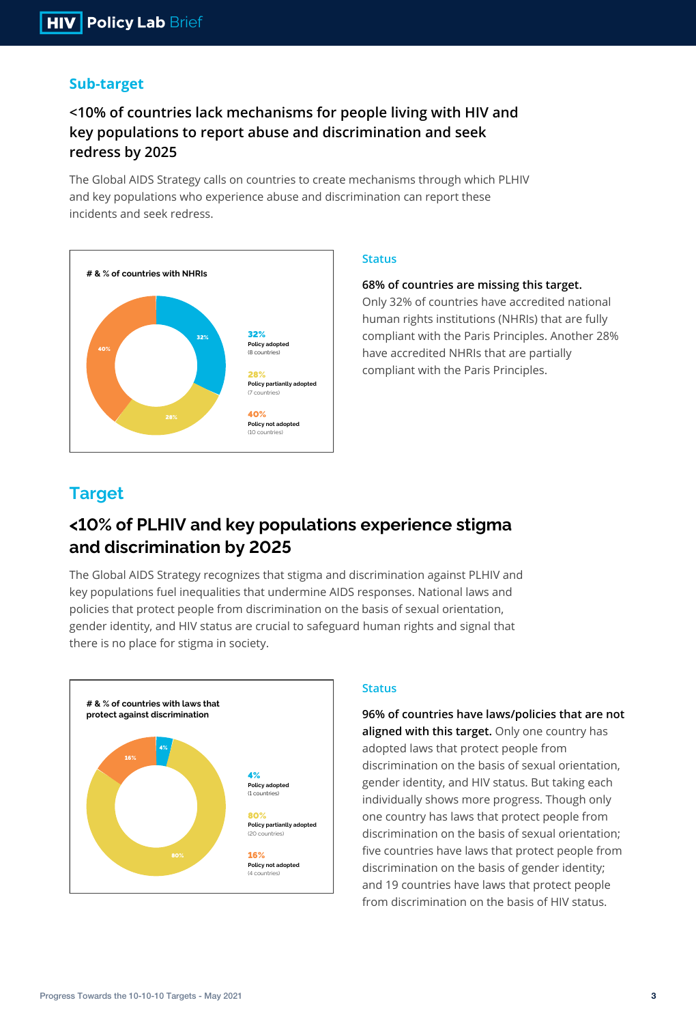

### **Sub-target**

## **<10% of countries lack mechanisms for people living with HIV and key populations to report abuse and discrimination and seek redress by 2025**

The Global AIDS Strategy calls on countries to create mechanisms through which PLHIV and key populations who experience abuse and discrimination can report these incidents and seek redress.

### **Status**

### **68% of countries are missing this target.**

Only 32% of countries have accredited national human rights institutions (NHRIs) that are fully compliant with the Paris Principles. Another 28% have accredited NHRIs that are partially compliant with the Paris Principles.



The Global AIDS Strategy recognizes that stigma and discrimination against PLHIV and key populations fuel inequalities that undermine AIDS responses. National laws and policies that protect people from discrimination on the basis of sexual orientation, gender identity, and HIV status are crucial to safeguard human rights and signal that there is no place for stigma in society.

#### **Status**

**96% of countries have laws/policies that are not aligned with this target.** Only one country has adopted laws that protect people from discrimination on the basis of sexual orientation, gender identity, and HIV status. But taking each individually shows more progress. Though only one country has laws that protect people from discrimination on the basis of sexual orientation; five countries have laws that protect people from discrimination on the basis of gender identity; and 19 countries have laws that protect people from discrimination on the basis of HIV status.

### **Target**

## **<10% of PLHIV and key populations experience stigma and discrimination by 2025**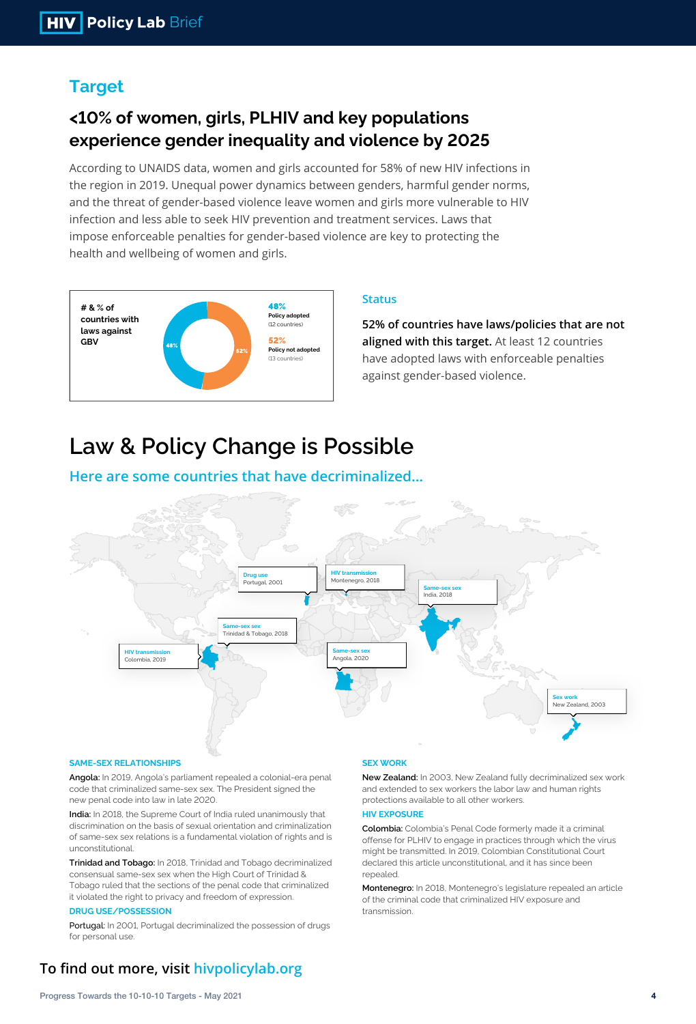

According to UNAIDS data, women and girls accounted for 58% of new HIV infections in the region in 2019. Unequal power dynamics between genders, harmful gender norms, and the threat of gender-based violence leave women and girls more vulnerable to HIV infection and less able to seek HIV prevention and treatment services. Laws that impose enforceable penalties for gender-based violence are key to protecting the health and wellbeing of women and girls.

### **Status**

-ఇండి చోం

**52% of countries have laws/policies that are not aligned with this target.** At least 12 countries have adopted laws with enforceable penalties against gender-based violence.

## **Target**

## **<10% of women, girls, PLHIV and key populations experience gender inequality and violence by 2025**

#### **SAME-SEX RELATIONSHIPS**

**Angola:** In 2019, Angola's parliament repealed a colonial-era penal code that criminalized same-sex sex. The President signed the new penal code into law in late 2020.

**India:** In 2018, the Supreme Court of India ruled unanimously that discrimination on the basis of sexual orientation and criminalization of same-sex sex relations is a fundamental violation of rights and is unconstitutional.

**Trinidad and Tobago:** In 2018, Trinidad and Tobago decriminalized consensual same-sex sex when the High Court of Trinidad & Tobago ruled that the sections of the penal code that criminalized it violated the right to privacy and freedom of expression.

#### **DRUG USE/POSSESSION**

Portugal: In 2001, Portugal decriminalized the possession of drugs for personal use.

### **To find out more, visit hivpolicylab.org**

#### **SEX WORK**

**New Zealand:** In 2003, New Zealand fully decriminalized sex work and extended to sex workers the labor law and human rights protections available to all other workers.

#### **HIV EXPOSURE**

**Colombia:** Colombia's Penal Code formerly made it a criminal offense for PLHIV to engage in practices through which the virus might be transmitted. In 2019, Colombian Constitutional Court declared this article unconstitutional, and it has since been repealed.

**Montenegro:** In 2018, Montenegro's legislature repealed an article of the criminal code that criminalized HIV exposure and transmission.



# **Law & Policy Change is Possible**

### **Here are some countries that have decriminalized…**